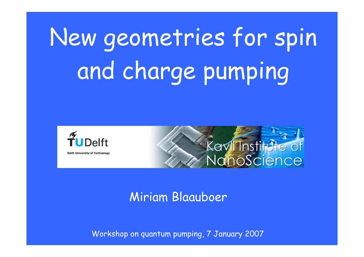New geometries for spin and charge pumping



**Delft University of Technology** 



### Miriam Blaauboer

Workshop on quantum pumping, 7 January 2007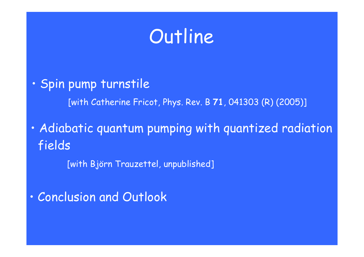

 $\bullet$ · Spin pump turnstile

[with Catherine Fricot, Phys. Rev. B **71**, 041303 (R) (2005)]

 $\bullet$  Adiabatic quantum pumping with quantized radiation fields

[with Björn Trauzettel, unpublished]

 $\bullet$ Conclusion and Outlook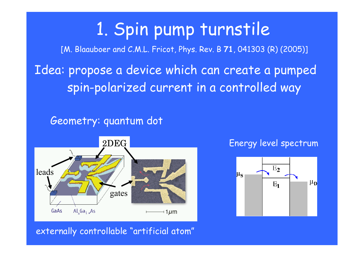# 1. Spin pump turnstile

[M. Blaauboer and C.M.L. Fricot, Phys. Rev. B **71**, 041303 (R) (2005)]

Idea: propose a device which can create a pumped spin-polarized current in a controlled way

Geometry: quantum dot



#### Energy level spectrum



externally controllable "artificial atom"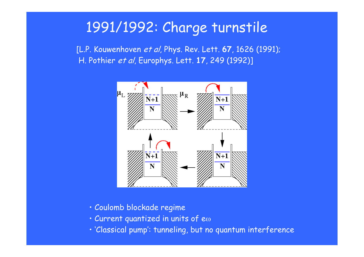### 1991/1992: Charge turnstile

[L.P. Kouwenhoven et al, Phys. Rev. Lett. **67**, 1626 (1991); H. Pothier et al, Europhys. Lett. **17**, 249 (1992)]



- Coulomb blockade regime
- $\cdot$  Current quantized in units of e $\omega$
- 'Classical pump': tunneling, but no quantum interference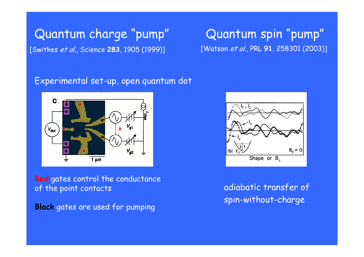### Quantum charge "pump" Quantum spin "pump" [Switkes et al., Science **283**, 1905 (1999)] [Watson et al., PRL **91**, 258301 (2003)]

#### Experimental set-up, open quantum dot



**Red** gates control the conductance of the point contacts

**Black** gates are used for pumping



adiabatic transfer of spin-without-charge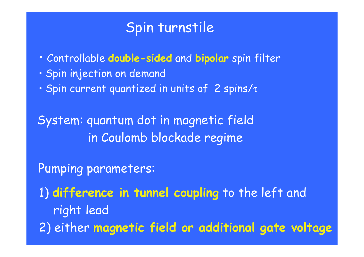### Spin turnstile

- Controllable **double-sided** and **bipolar** spin filter
- Spin injection on demand
- $\cdot$  Spin current quantized in units of 2 spins/ $\tau$

System: quantum dot in magnetic field in Coulomb blockade regime

Pumping parameters:

1) **difference in tunnel coupling** to the left and right lead

2) either **magnetic field or additional gate voltage**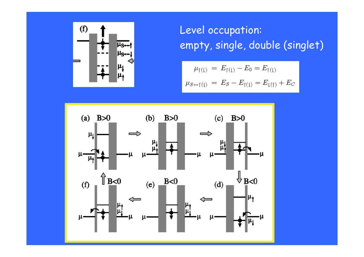

Level occupation: empty, single, double (singlet)

$$
\mu_{\uparrow(\downarrow)} = E_{\uparrow(\downarrow)} - E_0 = E_{\uparrow(\downarrow)}
$$
  

$$
\mu_{S \leftrightarrow \uparrow(\downarrow)} = E_S - E_{\uparrow(\downarrow)} = E_{\downarrow(\uparrow)} + E_C
$$

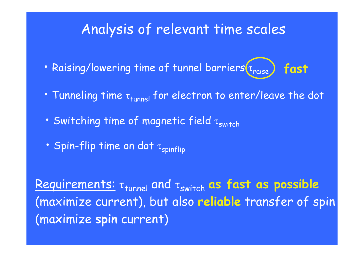### Analysis of relevant time scales

- Raising/lowering time of tunnel barriers  $\tau_{\mathsf{raise}}$ **fast**
- Tunneling time  $\tau_\mathsf{tunnel}$  for electron to enter/leave the dot
- Switching time of magnetic field  $\tau_{\mathsf{switch}}$
- Spin-flip time on dot  $\tau_{\mathsf{spinflip}}$

**Requirements: τ<sub>tunnel</sub> and τ<sub>switch</sub> as fast as possible** (maximize current), but also **reliable** transfer of spin (maximize **spin** current)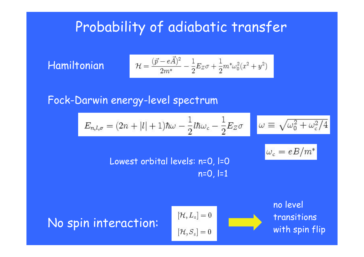### Probability of adiabatic transfer

Hamiltoni a n

$$
\mathcal{H} = \frac{(\vec{p}-e\vec{A})^2}{2m^*} - \frac{1}{2}E_Z\sigma + \frac{1}{2}m^*\omega_0^2(x^2+y^2)
$$

Fock-Darwin energy-level spectrum

$$
E_{n,l,\sigma} = (2n + |l| + 1)\hbar\omega - \frac{1}{2}l\hbar\omega_c - \frac{1}{2}E_Z\sigma
$$

$$
\omega \equiv \sqrt{\omega_0^2 + \omega_c^2/4}
$$

$$
\omega_c=eB/m^*
$$

Lowest orbital levels: n=0, l=0  $n=0, l=1$ 

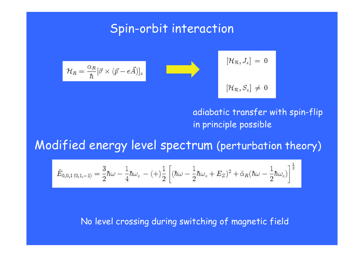### Spin-orbit interaction

$$
\mathcal{H}_R = \frac{\alpha_R}{\hbar} [\vec{\sigma} \times (\vec{p} - e\vec{A})]_z
$$

$$
[\mathcal{H}_{\mathcal{R}},J_z]\,=\,0
$$
 
$$
[\mathcal{H}_{\mathcal{R}},S_z]\,\neq\,0
$$

#### adiabatic transfer with spin-flip in principle possible

Modified energy level spectrum (perturbation theory)

$$
\tilde{E}_{0,0,1(0,1,-1)} = \frac{3}{2}\hbar\omega - \frac{1}{4}\hbar\omega_c - (+)\frac{1}{2}\left[(\hbar\omega - \frac{1}{2}\hbar\omega_c + E_Z)^2 + \tilde{\alpha}_R(\hbar\omega - \frac{1}{2}\hbar\omega_c)\right]^{\frac{1}{2}}
$$

#### No level crossing during switc hing of magnetic field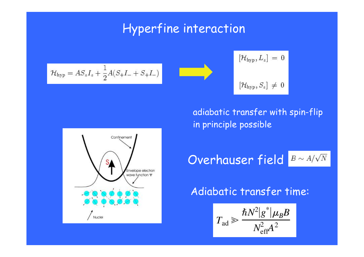### Hyperfine interaction

$$
\mathcal{H}_{\rm hyp} = A S_z I_z + \frac{1}{2} A (S_+ I_- + S_+ I_-)
$$

$$
\left[\mathcal{H}_{\mathrm{hyp}},L_{z}\right]=0
$$
  

$$
\left[\mathcal{H}_{\mathrm{hyp}},S_{z}\right]\,\neq\,0
$$

### adiabatic transfer with spin-flip in principle possible

Overhauser field  $B \sim A/\sqrt{N}$ 

### Adiabatic transfer time:

$$
T_{\rm ad} \geqslant \frac{\hbar N^2 |g^*| \mu_B B}{N_{\rm eff}^2 A^2}
$$

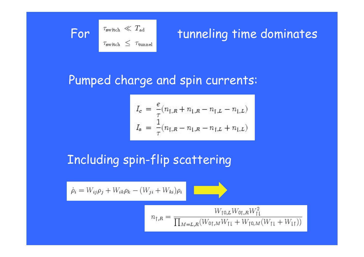

# For  $\left[\begin{array}{cc} \tau_{\text{switch}} \ll T_{\text{add}} \\ \tau_{\text{switch}} \leq \tau_{\text{tunnel}} \end{array}\right]$  tunneling time dominates

### Pumped charge and spin currents:

$$
\begin{aligned} I_c \, & = \, \frac{e}{\tau} (n_{\uparrow,R} + n_{\downarrow,R} - n_{\uparrow,L} - n_{\downarrow,L}) \\ I_s \, & = \, \frac{1}{\tau} (n_{\uparrow,R} - n_{\downarrow,R} - n_{\uparrow,L} + n_{\downarrow,L}) \end{aligned}
$$

### Including spin-flip scattering

 $\eta$ 

$$
\dot{\rho}_i = W_{ij}\rho_j + W_{ik}\rho_k - (W_{ji} + W_{ki})\rho_i
$$

$$
\mathbf{y}_{\text{f},R} = \frac{W_{\text{f0},L}W_{\text{0f},R}W_{\text{f1}}^2}{\prod_{M=L,R} (W_{\text{0f},M}W_{\text{f1}} + W_{\text{f0},M}(W_{\text{f1}} + W_{\text{f2}})}
$$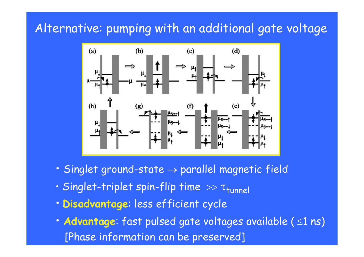### Alternative: pumping with an additional gate voltage



- Singlet ground-state  $\rightarrow$  parallel magnetic field
- Singlet-triplet spin-flip time  $\gg \tau_\mathsf{tunnel}$
- **Disadvantage**: less efficient cycle
- **Advantage**: fast pulsed gate voltages available ( ≤1 ns) [Phase information can be preserved]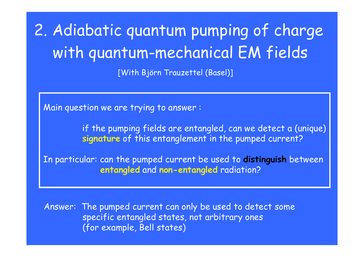# 2. Adiabatic quantum pumping of charge with quantum-mechanical EM fields

[With Björn Trauzettel (Basel)]

Main question we are trying to answer :

if the pumping fields are entangled, can we detect a (unique) **signature** of this entanglement in the pumped current?

In particular: can the pumped current be used to **distinguish** between **entangled** and **non-entangled** radiation?

Answer: The pum ped current can only be used to detect some specific entangled states, not arbitrary ones (for example, Bell states)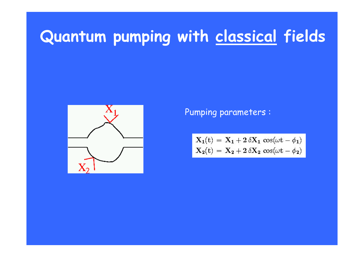# **Quantum pumping with classical fields**



Pumping parameters :

$$
\begin{aligned} \mathbf{X_1}(t)\, & = \,\mathbf{X_1} + 2\,\delta\mathbf{X_1}\,\cos(\omega t - \phi_1) \\ \mathbf{X_2}(t)\, & = \,\mathbf{X_2} + 2\,\delta\mathbf{X_2}\,\cos(\omega t - \phi_2) \end{aligned}
$$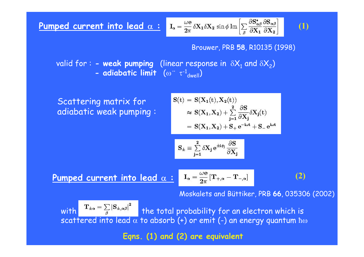**Pumped current into lead** α : 
$$
I_{\alpha} = \frac{\omega e}{2\pi} \delta X_1 \delta X_2 \sin \phi \operatorname{Im} \left[ \sum_{\beta} \frac{\partial S_{\alpha\beta}^*}{\partial X_1} \frac{\partial S_{\alpha\beta}}{\partial X_2} \right]
$$
 (1)

#### Brouwer, PRB **58**, R10135 (1998)

valid for : **- weak pumping** (linear response in  $\delta\mathsf{X}_1$  and  $\delta\mathsf{X}_2$ ) **- adiabatic limit** ( ω  $\bullet$  $\cdots \tau^{-1}_{dwell}$ 

Scattering matrix for adiab atic weak pumping :

$$
\begin{aligned} S(t)&=S(X_1(t),X_2(t))\\ &\approx S(X_1,X_2)+\sum\limits_{j=1}^2\frac{\partial S}{\partial X_j}\delta X_j(t)\\ &=S(X_1,X_2)+S_+e^{-i\omega t}+S_-e^{i\omega t} \end{aligned}
$$

$$
S_{\pm}\equiv\sum_{j=1}^{2}\delta X_{j}\,e^{\pm i\phi_{j}}\frac{\partial S}{\partial X_{j}}
$$

**Pumped current into lead**  $\alpha$  **:**  $I_{\alpha} = \frac{\omega e}{2\pi} [\mathbf{T}_{+,\alpha} - \mathbf{T}_{-,\alpha}]$  **(2)** 

Moskalets and Büttiker, PRB **66**, 035306 (2002)

with  $T_{\pm \alpha} = \sum_{\beta} |S_{\pm,\alpha\beta}|^2$  the total probability for an electron which is scattered into lead  $\alpha$  to absorb (+) or emit (-) an energy quantum  $\hbar\omega$ 

**Eqns. (1) and (2) are equivalent**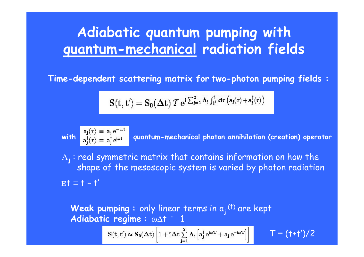### **Adiabatic quantum pumping with quantum-mechanical radiation fields**

**Time-dependent scattering matrix for two-photon pumping fields :**

$$
\mathbf{S}(t,t') = \mathbf{S}_0(\Delta t) \, \mathcal{T} \, e^{i \sum_{j=1}^2 \Lambda_j \int_{t'}^t d\tau \, \left( \mathbf{a}_j(\tau) + \mathbf{a}_j^\dagger(\tau) \right)}
$$

**with quantum -mechanical photon annihilatio n (creation) o perator**

 $\Lambda_j$ : real symmetric matrix that contains information on how the shape of the mesoscopic system is varied by photon radiation  $\texttt{E}\texttt{t} \equiv \texttt{t}$  –  $\texttt{t}'$ 

**Weak pumping** : only linear terms in  $a_i$ <sup>(t)</sup> are kept  $\omega\Delta$ †  $\degree$  $\mathbb{I}^{\mathbb{I}}$ 

$$
\mathbf{S}(\mathbf{t},\mathbf{t}')\approx \mathbf{S}_0(\Delta \mathbf{t})\left[1+i\Delta t \sum_{j=1}^2\Lambda_j\left[\mathbf{a}_j^\dagger\,\mathbf{e}^{\mathrm{i}\omega\mathbf{T}}+\mathbf{a}_j\,\mathbf{e}^{-\mathrm{i}\omega\mathbf{T}}\right]\right]\qquad \quad \mathsf{T}\equiv \big(\textup{\textbf{t}}+\textup{\textbf{t}}'\big)/2
$$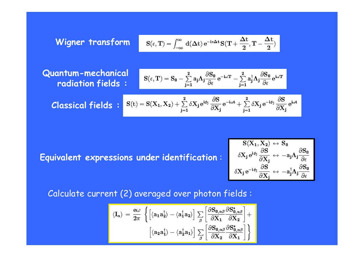$$
S(\epsilon,T)=\int_{-\infty}^{\infty}\,d(\Delta t)\,e^{-i\epsilon \Delta t}\,S\big(T+\frac{\Delta t}{2},T-\frac{\Delta t}{2}\big)
$$

**Wigner transform**

**Quantum-mechanical radiation fields :**

$$
S(\epsilon,T)=S_0-\sum_{j=1}^2a_j\Lambda_j\frac{\partial S_0}{\partial \epsilon}\,e^{-i\omega T}-\sum_{j=1}^2a_j^\dagger\Lambda_j\frac{\partial S_0}{\partial \epsilon}\,e^{i\omega T}
$$

$$
\textbf{Classical fields}: \,\,\left|\,S(t)=S(X_1,X_2)+\sum_{j=1}^2\delta X_j\,e^{i\phi_j}\,\frac{\partial S}{\partial X_j}\,e^{-i\omega t}+\sum_{j=1}^2\delta X_j\,e^{-i\phi_j}\,\frac{\partial S}{\partial X_j}\,e^{i\omega t}\,\right|\,\,
$$

**Equivalent expressions under identification** :

$$
\begin{aligned} S(X_1,X_2) &\leftrightarrow S_0 \\ \delta X_j\,e^{i\phi_j}\frac{\partial S}{\partial X_j} &\leftrightarrow -a_j\Lambda_j\frac{\partial S_0}{\partial \epsilon} \\ \delta X_j\,e^{-i\phi_j}\frac{\partial S}{\partial X_j} &\leftrightarrow -a_j^\dagger\Lambda_j\frac{\partial S_0}{\partial \epsilon} \end{aligned}
$$

Calculate current (2) averaged over photon fields :

$$
\langle I_{\alpha} \rangle \, = \, \frac{e \omega}{2 \pi} \, \left\{ \left[ \langle a_{1} a_{2}^{\dagger} \rangle - \langle a_{1}^{\dagger} a_{2} \rangle \right] \sum_{\beta} \left[ \frac{\partial S_{0,\alpha \beta}}{\partial X_{1}} \frac{\partial S_{0,\alpha \beta}^{\ast}}{\partial X_{2}} \right] + \\ \left[ \langle a_{2} a_{1}^{\dagger} \rangle - \langle a_{2}^{\dagger} a_{1} \rangle \right] \sum_{\beta} \left[ \frac{\partial S_{0,\alpha \beta}}{\partial X_{2}} \frac{\partial S_{0,\alpha \beta}^{\ast}}{\partial X_{1}} \right] \right\}
$$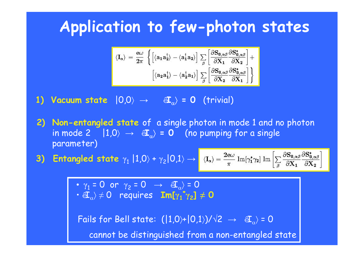## **Application to few-photon states**

$$
\langle I_{\alpha} \rangle \, = \, \frac{e\omega}{2\pi} \, \left\{ \left[ \langle a_{1} a_{2}^{\dagger} \rangle - \langle a_{1}^{\dagger} a_{2} \rangle \right] \sum_{\beta} \left[ \frac{\partial S_{0,\alpha\beta}}{\partial X_{1}} \frac{\partial S_{0,\alpha\beta}^{*}}{\partial X_{2}} \right] + \\ \left[ \langle a_{2} a_{1}^{\dagger} \rangle - \langle a_{2}^{\dagger} a_{1} \rangle \right] \sum_{\beta} \left[ \frac{\partial S_{0,\alpha\beta}}{\partial X_{2}} \frac{\partial S_{0,\alpha\beta}^{*}}{\partial X_{1}} \right] \right\}
$$

**1) Vacuum state** |0,0 〉 → ·**I** α〉 **= 0** (trivial)

**2) Non-entangled state** of a single photon in mode 1 and no photon in mode 2  $|1{,}0\rangle$   $\rightarrow$   $|$   $\mathbf{\hat{a}}_{\alpha}\rangle$  = 0  $\;$  (no pumping for a single parameter)

3) Entangled state  $\gamma_1 \ket{1,0}$  +  $\gamma_2 \ket{0,1} \rightarrow$ 

$$
\rangle = \frac{2 e \omega}{\pi} \ {\rm Im}[\gamma_1^* \gamma_2] \ {\rm Im} \left[ \sum_\beta \frac{\partial {\bf S_{0,\alpha\beta}}}{\partial {\bf X_1}} \frac{\partial {\bf S_{0,\alpha\beta}^*}}{\partial {\bf X_2}} \right]
$$

•  $\gamma_1$  = 0 or  $\gamma_2$  = 0  $\;\rightarrow$   $\;\;\widehat{\textbf{eI}}_\alpha \rangle$  = 0  $\mathbf{F}\in\mathbb{Z}_{\alpha}\rangle\neq\mathbf{0}$  requires  $\mathbf{Im}[\![\boldsymbol{\gamma}_1]\!]$ **\* γ 2] ≠ 0**

Fails for Bell state:  $(|1{,}0\rangle + |0{,}1\rangle)/\sqrt{2} \;\rightarrow\;\; \text{a} \text{C}_\alpha \rangle$  = 0 cannot be distinguished from a non-entangled state